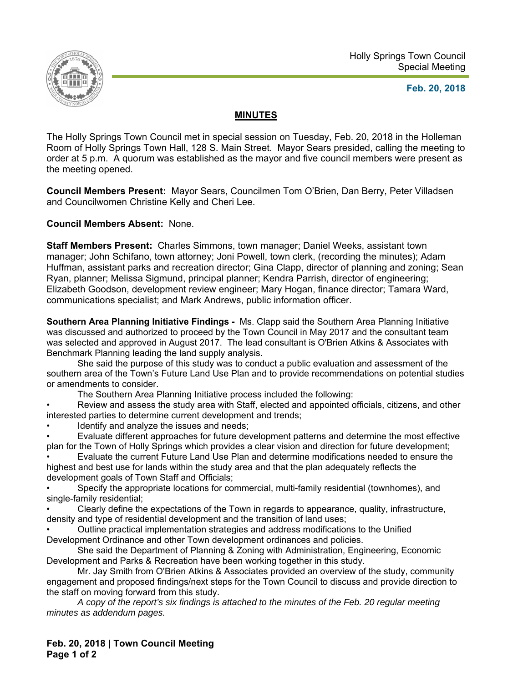

## **Feb. 20, 2018**

## **MINUTES**

The Holly Springs Town Council met in special session on Tuesday, Feb. 20, 2018 in the Holleman Room of Holly Springs Town Hall, 128 S. Main Street. Mayor Sears presided, calling the meeting to order at 5 p.m. A quorum was established as the mayor and five council members were present as the meeting opened.

**Council Members Present:** Mayor Sears, Councilmen Tom O'Brien, Dan Berry, Peter Villadsen and Councilwomen Christine Kelly and Cheri Lee.

**Council Members Absent:** None.

**Staff Members Present:** Charles Simmons, town manager; Daniel Weeks, assistant town manager; John Schifano, town attorney; Joni Powell, town clerk, (recording the minutes); Adam Huffman, assistant parks and recreation director; Gina Clapp, director of planning and zoning; Sean Ryan, planner; Melissa Sigmund, principal planner; Kendra Parrish, director of engineering; Elizabeth Goodson, development review engineer; Mary Hogan, finance director; Tamara Ward, communications specialist; and Mark Andrews, public information officer.

**Southern Area Planning Initiative Findings -** Ms. Clapp said the Southern Area Planning Initiative was discussed and authorized to proceed by the Town Council in May 2017 and the consultant team was selected and approved in August 2017. The lead consultant is O'Brien Atkins & Associates with Benchmark Planning leading the land supply analysis.

She said the purpose of this study was to conduct a public evaluation and assessment of the southern area of the Town's Future Land Use Plan and to provide recommendations on potential studies or amendments to consider.

The Southern Area Planning Initiative process included the following:

• Review and assess the study area with Staff, elected and appointed officials, citizens, and other interested parties to determine current development and trends;

Identify and analyze the issues and needs;

• Evaluate different approaches for future development patterns and determine the most effective plan for the Town of Holly Springs which provides a clear vision and direction for future development;

• Evaluate the current Future Land Use Plan and determine modifications needed to ensure the highest and best use for lands within the study area and that the plan adequately reflects the development goals of Town Staff and Officials;

• Specify the appropriate locations for commercial, multi-family residential (townhomes), and single-family residential;

• Clearly define the expectations of the Town in regards to appearance, quality, infrastructure, density and type of residential development and the transition of land uses;

• Outline practical implementation strategies and address modifications to the Unified Development Ordinance and other Town development ordinances and policies.

She said the Department of Planning & Zoning with Administration, Engineering, Economic Development and Parks & Recreation have been working together in this study.

Mr. Jay Smith from O'Brien Atkins & Associates provided an overview of the study, community engagement and proposed findings/next steps for the Town Council to discuss and provide direction to the staff on moving forward from this study.

*A copy of the report's six findings is attached to the minutes of the Feb. 20 regular meeting minutes as addendum pages.* 

**Feb. 20, 2018 | Town Council Meeting Page 1 of 2**